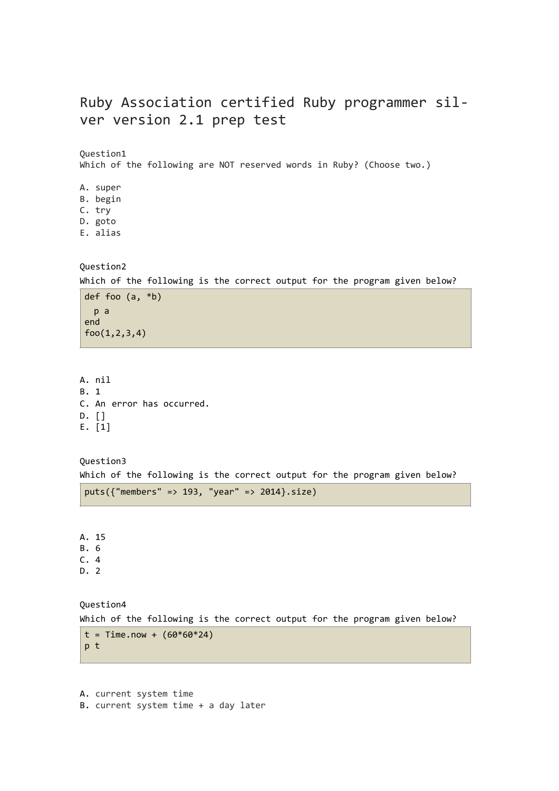# Ruby Association certified Ruby programmer silver version 2.1 prep test

Question1

Which of the following are NOT reserved words in Ruby? (Choose two.)

A. super

B. begin

- C. try D. goto
- E. alias

# Question2

Which of the following is the correct output for the program given below?

def foo (a, \*b) p a end foo(1,2,3,4)

A. nil B. 1 C. An error has occurred. D. [] E. [1]

Question3 Which of the following is the correct output for the program given below?

puts({"members" => 193, "year" => 2014}.size)

A. 15 B. 6

C. 4

D. 2

Question4

Which of the following is the correct output for the program given below?

```
t = Time.now + (60*60*24)
p t
```
A. current system time B. current system time + a day later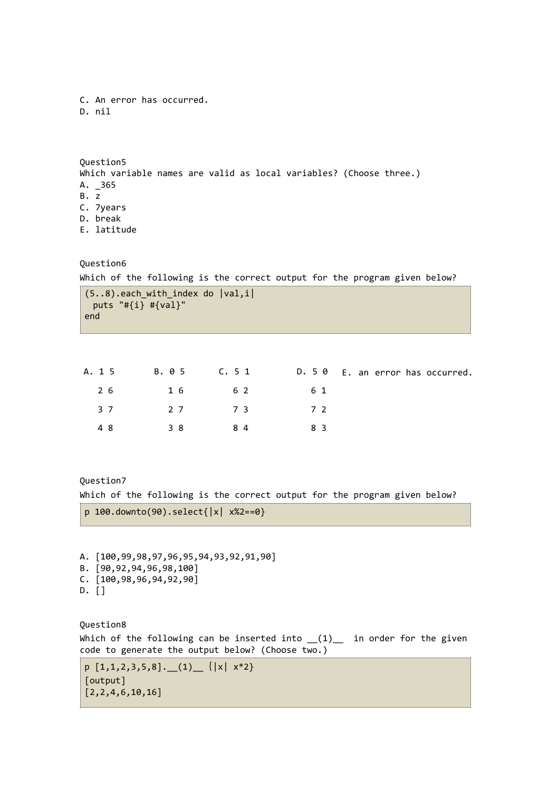```
C. An error has occurred.
D. nil
```
Question5 Which variable names are valid as local variables? (Choose three.) A. \_365 B. z C. 7years D. break E. latitude

Question6

Which of the following is the correct output for the program given below?

```
(5..8).each with index do |val, i|puts "#{i} #{val}"
end
```

|             |  | A. 15 B. 05 C. 51 D. 50 E. an error has occurred. |
|-------------|--|---------------------------------------------------|
| 26 16 62 61 |  |                                                   |
| 37 27 73 72 |  |                                                   |
| 48 38 84 83 |  |                                                   |

Question7

Which of the following is the correct output for the program given below?

```
p 100.downto(90).select{|x| x%2==0}
```
A. [100,99,98,97,96,95,94,93,92,91,90] B. [90,92,94,96,98,100] C. [100,98,96,94,92,90] D. []

Question8 Which of the following can be inserted into  $(1)$  in order for the given code to generate the output below? (Choose two.)

```
p [1,1,2,3,5,8]. (1) \{|x| x*2\}[output] 
[2,2,4,6,10,16]
```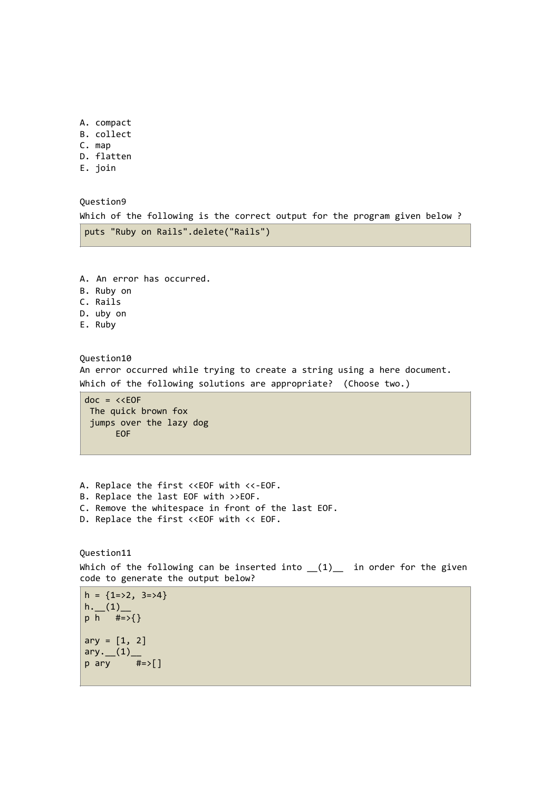- A. compact
- B. collect
- C. map
- D. flatten
- E. join

Question9

Which of the following is the correct output for the program given below ? puts "Ruby on Rails".delete("Rails")

A. An error has occurred. B. Ruby on C. Rails D. uby on E. Ruby

Question10 An error occurred while trying to create a string using a here document. Which of the following solutions are appropriate? (Choose two.)

 $doc = \lt{kOP}$  The quick brown fox jumps over the lazy dog EOF

A. Replace the first <<EOF with <<-EOF.

- B. Replace the last EOF with >>EOF.
- C. Remove the whitespace in front of the last EOF.
- D. Replace the first <<EOF with << EOF.

Question11 Which of the following can be inserted into  $(1)$  in order for the given code to generate the output below?

```
h = \{1 = > 2, 3 = > 4\}h. (1) -p h #=>{} 
ary = [1, 2]ary. (1)p \text{ ary } #=>[]
```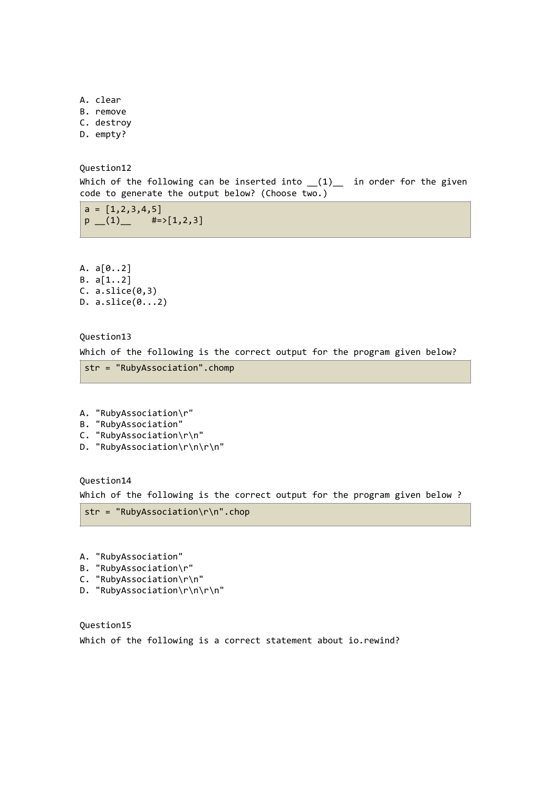A. clear B. remove C. destroy D. empty?

Question12

Which of the following can be inserted into  $(1)$  in order for the given code to generate the output below? (Choose two.)

 $a = [1, 2, 3, 4, 5]$  $p$  (1)  $\qquad$  #=>[1,2,3]

A. a[0..2] B. a[1..2]  $C. a.slice(0,3)$ D. a.slice(0...2)

Question13

Which of the following is the correct output for the program given below?

```
str = "RubyAssociation".chomp
```

```
A. "RubyAssociation\r"
```

```
B. "RubyAssociation"
```
- C. "RubyAssociation\r\n"
- D. "RubyAssociation\r\n\r\n"

Question14

Which of the following is the correct output for the program given below ?

str = "RubyAssociation\r\n".chop

- A. "RubyAssociation"
- B. "RubyAssociation\r"
- C. "RubyAssociation\r\n"
- D. "RubyAssociation\r\n\r\n"

Question15 Which of the following is a correct statement about io.rewind?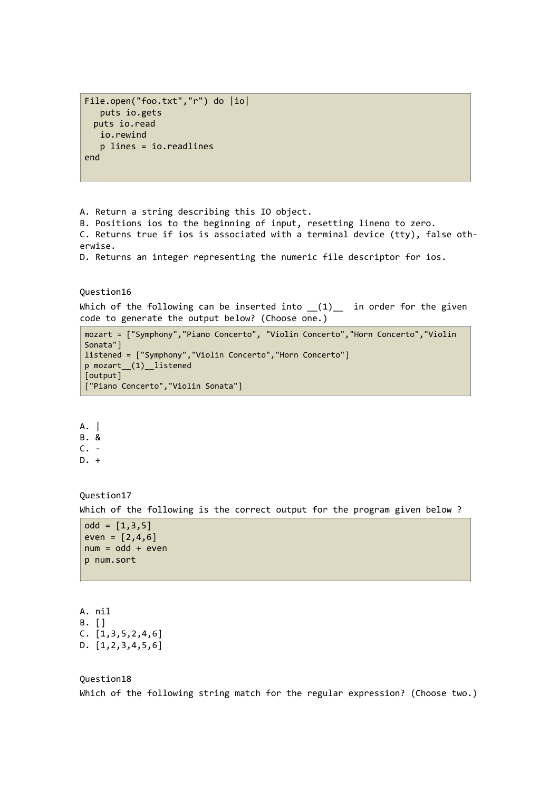```
File.open("foo.txt","r") do |io| 
    puts io.gets 
  puts io.read 
    io.rewind 
    p lines = io.readlines 
end
```
A. Return a string describing this IO object.

B. Positions ios to the beginning of input, resetting lineno to zero. C. Returns true if ios is associated with a terminal device (tty), false otherwise.

D. Returns an integer representing the numeric file descriptor for ios.

### Question16

Which of the following can be inserted into  $(1)$  in order for the given code to generate the output below? (Choose one.)

```
mozart = ["Symphony","Piano Concerto", "Violin Concerto","Horn Concerto","Violin 
Sonata"] 
listened = ["Symphony","Violin Concerto","Horn Concerto"] 
p mozart__(1)__listened
[output] 
["Piano Concerto","Violin Sonata"]
```

```
A. | 
B. & 
C. - 
D. +
```
Question17 Which of the following is the correct output for the program given below ?

```
odd = [1, 3, 5]even = [2, 4, 6]num = odd + evenp num.sort
```
A. nil B. [] C. [1,3,5,2,4,6] D. [1,2,3,4,5,6]

### Question18

Which of the following string match for the regular expression? (Choose two.)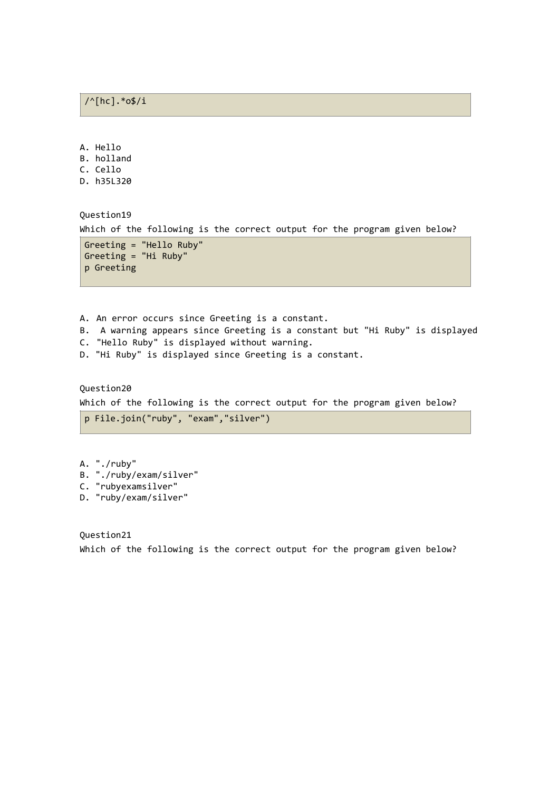A. Hello B. holland

C. Cello

D. h35L320

Question19

Which of the following is the correct output for the program given below?

Greeting = "Hello Ruby" Greeting = "Hi Ruby" p Greeting

- A. An error occurs since Greeting is a constant.
- B. A warning appears since Greeting is a constant but "Hi Ruby" is displayed
- C. "Hello Ruby" is displayed without warning.
- D. "Hi Ruby" is displayed since Greeting is a constant.

Question20 Which of the following is the correct output for the program given below?

p File.join("ruby", "exam","silver")

A. "./ruby" B. "./ruby/exam/silver" C. "rubyexamsilver" D. "ruby/exam/silver"

Question21 Which of the following is the correct output for the program given below?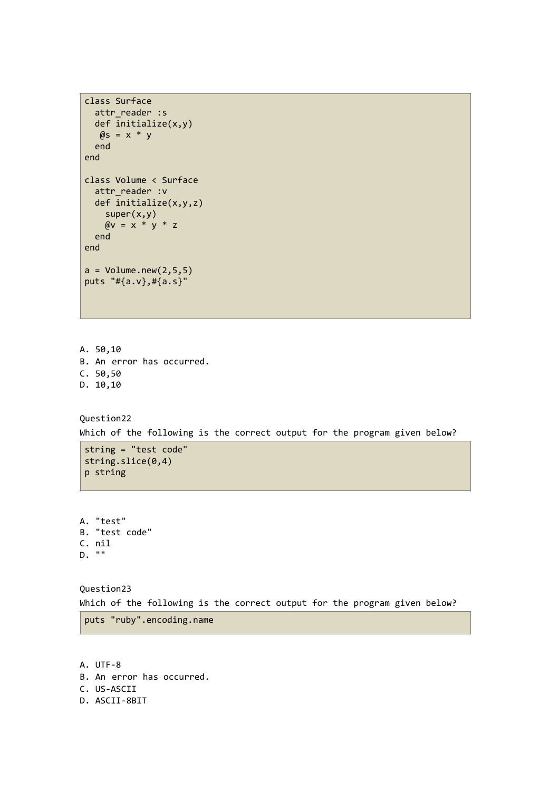```
class Surface 
 attr reader :s
  def initialize(x,y) 
  \thetas = x * y
  end 
end 
class Volume < Surface 
 attr reader :v
  def initialize(x,y,z) 
    super(x,y) 
   \omega = x * y * z end 
end 
a = Volume.new(2, 5, 5)puts "#{a.v},#{a.s}"
```

```
A. 50,10
B. An error has occurred.
C. 50,50
D. 10,10
```

```
Question22 
Which of the following is the correct output for the program given below?
```

```
string = "test code" 
string.slice(0,4)
p string
```
A. "test" B. "test code" C. nil D. ""

Question23 Which of the following is the correct output for the program given below?

puts "ruby".encoding.name

A. UTF-8 B. An error has occurred. C. US-ASCII D. ASCII-8BIT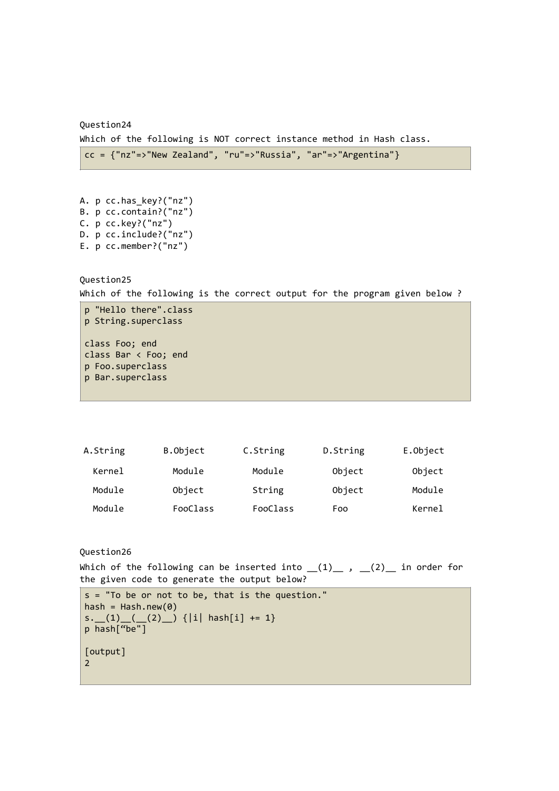Question24 Which of the following is NOT correct instance method in Hash class.

 $cc = \{ "nz" = > "New Zealand", "ru" = > "Russia", "ar" = > "Argentina" }$ 

```
A. p cc.has_key?("nz")
B. p cc.contain?("nz")
C. p cc.key?("nz")
D. p cc.include?("nz")
E. p cc.member?("nz")
```
Question25

Which of the following is the correct output for the program given below ?

```
p "Hello there".class 
p String.superclass 
class Foo; end 
class Bar < Foo; end 
p Foo.superclass 
p Bar.superclass
```

| A.String | B.Object | C.String | D.String | E.Object |
|----------|----------|----------|----------|----------|
| Kernel   | Module   | Module   | Object   | Object   |
| Module   | Object   | String   | Object   | Module   |
| Module   | FooClass | FooClass | Foo      | Kernel   |

Question26

Which of the following can be inserted into  $(1)$ ,  $(2)$ , in order for the given code to generate the output below?

s = "To be or not to be, that is the question." hash =  $Hash.new(0)$  $s. (1)$   $(2)$   $|i|$  hash[i] += 1} p hash["be"] [output] 2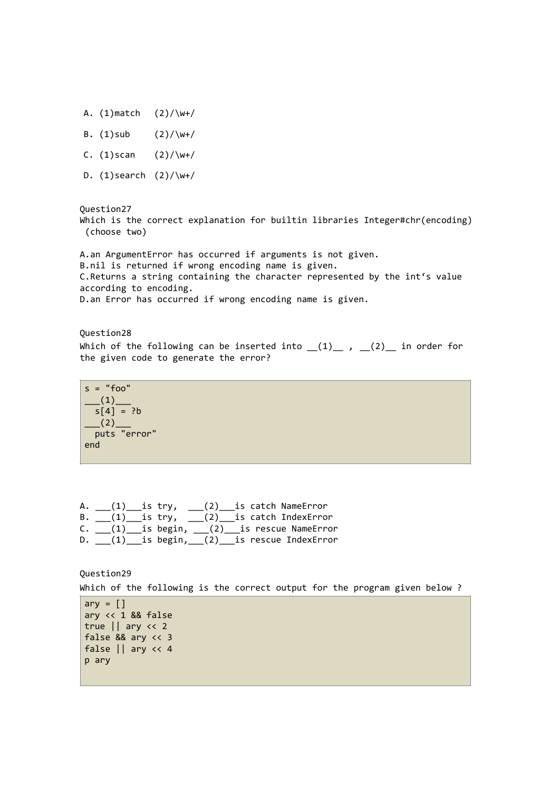- A.  $(1)$  match  $(2) / \w + /$
- B.  $(1)$ sub  $(2) / \w + /$
- C.  $(1)$ scan  $(2)/\wedge$ w+/
- D.  $(1)$ search  $(2)/\wedge$ w+/

Question27 Which is the correct explanation for builtin libraries Integer#chr(encoding) (choose two)

A.an ArgumentError has occurred if arguments is not given. B.nil is returned if wrong encoding name is given. C.Returns a string containing the character represented by the int's value according to encoding. D.an Error has occurred if wrong encoding name is given.

Question28 Which of the following can be inserted into  $(1)$ ,  $(2)$  in order for the given code to generate the error?

```
s = "foo"(1)s[4] = ?b\frac{1}{2} (2)
  puts "error" 
end
```
A.  $(1)$  is try,  $(2)$  is catch NameError B. \_\_\_(1)\_\_\_is try, \_\_\_(2)\_\_\_is catch IndexError C. \_\_\_(1)\_\_\_is begin, \_\_\_(2)\_\_\_is rescue NameError D. (1) is begin, (2) is rescue IndexError

Question29 Which of the following is the correct output for the program given below ? ary  $=$   $\lceil \cdot \rceil$ ary << 1 && false true || ary << 2 false && ary << 3 false || ary << 4

p ary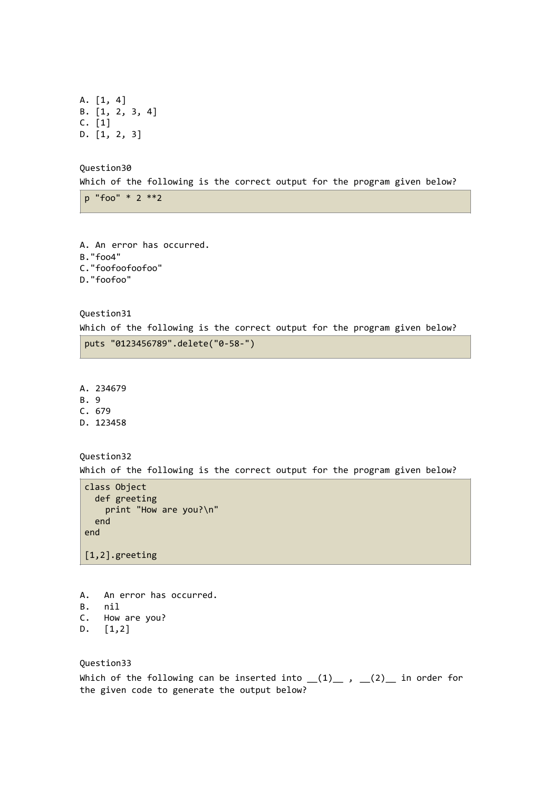A. [1, 4] B. [1, 2, 3, 4] C. [1] D. [1, 2, 3]

Question30

Which of the following is the correct output for the program given below?

p "foo" \* 2 \*\*2

A. An error has occurred. B."foo4" C."foofoofoofoo" D."foofoo"

Question31

Which of the following is the correct output for the program given below?

puts "0123456789".delete("0-58-")

A. 234679

B. 9

C. 679

D. 123458

Question32

Which of the following is the correct output for the program given below?

```
class Object 
   def greeting 
     print "How are you?\n" 
   end 
end
```
[1,2].greeting

- A. An error has occurred.
- B. nil
- C. How are you?
- D. [1,2]

Question33

Which of the following can be inserted into  $(1)$ ,  $(2)$ , in order for the given code to generate the output below?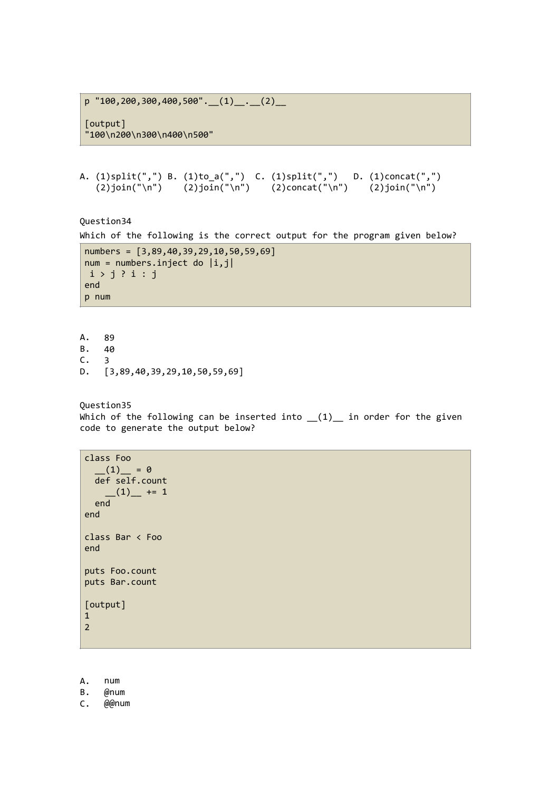p  $"100,200,300,400,500"$ .  $(1)$ .  $(2)$ 

[output] "100\n200\n300\n400\n500"

```
A. (1)split(",") B. (1)to_a(",") C. (1)split(",") D. (1)concat(",")
   (2)join("\n") (2)join("\n") (2)concat("\n") (2)join("\n")
```
Question34

```
Which of the following is the correct output for the program given below?
```

```
numbers = [3,89,40,39,29,10,50,59,69] 
num = numbers.inject do |i,j|i > j ? i : jend 
p num
```
A. 89<br>B. 40  $B.$ C. 3 D. [3,89,40,39,29,10,50,59,69]

Question35

Which of the following can be inserted into  $(1)$  in order for the given code to generate the output below?

```
class Foo 
  (1) = 0<br>def self.count
 def self.count 
(1) += 1
 end 
end 
class Bar < Foo 
end 
puts Foo.count 
puts Bar.count 
[output] 
1 
2
```
A. num

B. @num

C. @@num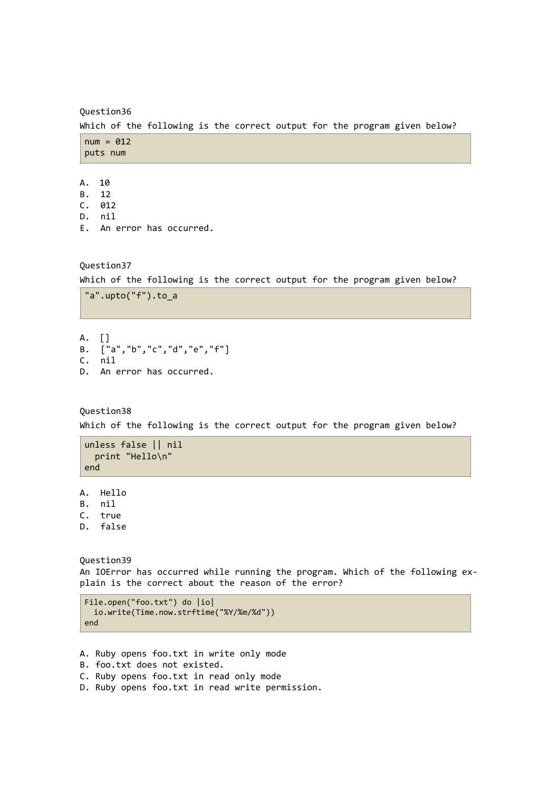Question36

Which of the following is the correct output for the program given below?

 $num = 012$ puts num

- A. 10
- B. 12
- C. 012 D. nil
- E. An error has occurred.

Question37

Which of the following is the correct output for the program given below?

```
"a".upto("f").to_a
```
A. [] B. ["a","b","c","d","e","f"] C. nil D. An error has occurred.

Question38

Which of the following is the correct output for the program given below?

```
unless false || nil 
  print "Hello\n" 
end
```
A. Hello B. nil C. true D. false

Question39 An IOError has occurred while running the program. Which of the following explain is the correct about the reason of the error?

```
File.open("foo.txt") do |io| 
  io.write(Time.now.strftime("%Y/%m/%d")) 
end
```
A. Ruby opens foo.txt in write only mode B. foo.txt does not existed. C. Ruby opens foo.txt in read only mode D. Ruby opens foo.txt in read write permission.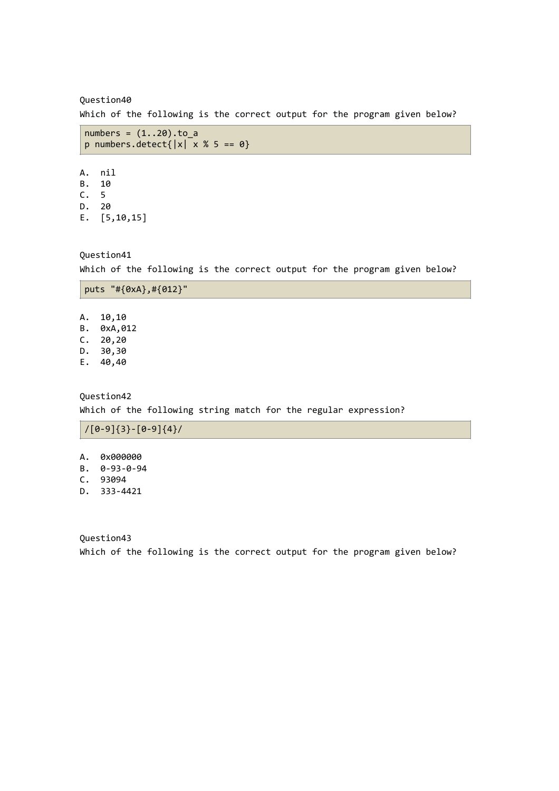Question40

Which of the following is the correct output for the program given below?

```
numbers = (1..20).to_ap numbers.detect\{|x| \times 1 \times 5 == 0\}
```
A. nil B. 10 C. 5 D. 20 E. [5,10,15]

Question41 Which of the following is the correct output for the program given below?

|  | puts "# $\{0xA\}$ ,# $\{012\}$ " |  |
|--|----------------------------------|--|
|  |                                  |  |

A. 10,10 B. 0xA,012 C. 20,20 D. 30,30

E. 40,40

Question42 Which of the following string match for the regular expression?

/[0-9]{3}-[0-9]{4}/

- A. 0x000000
- B. 0-93-0-94
- C. 93094
- D. 333-4421

Question43 Which of the following is the correct output for the program given below?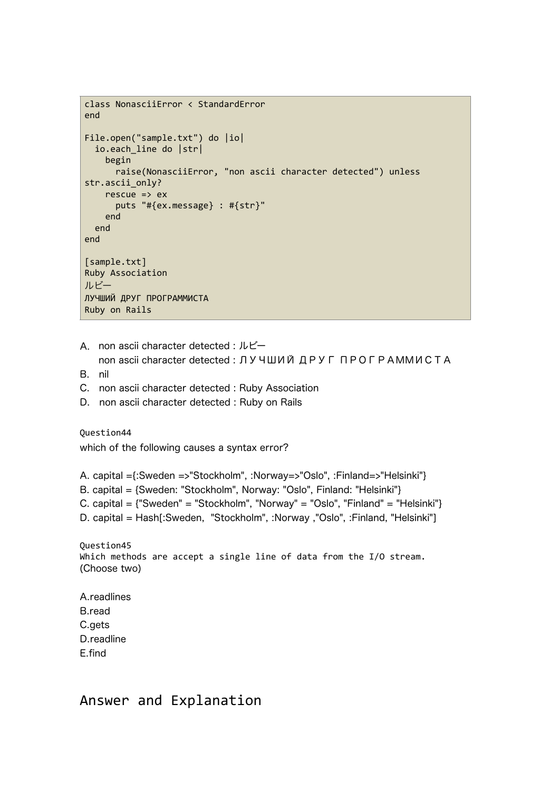```
class NonasciiError < StandardError 
end 
File.open("sample.txt") do |io| 
   io.each_line do |str| 
     begin 
       raise(NonasciiError, "non ascii character detected") unless 
str.ascii_only? 
    rescue \Rightarrow ex
       puts "#{ex.message} : #{str}" 
     end 
   end 
end 
[sample.txt] 
Ruby Association 
ルビー
ЛУЧШИЙ ДРУГ ПРОГРАММИСТА 
Ruby on Rails
```

```
A. non ascii character detected : ルビー
```
- non ascii character detected : ЛУЧШИЙ ДРУГ ПРОГРАММИСТА
- B. nil
- C. non ascii character detected : Ruby Association
- D. non ascii character detected : Ruby on Rails

Question44 which of the following causes a syntax error?

A. capital ={:Sweden =>"Stockholm", :Norway=>"Oslo", :Finland=>"Helsinki"}

- B. capital = {Sweden: "Stockholm", Norway: "Oslo", Finland: "Helsinki"}
- C. capital = {"Sweden" = "Stockholm", "Norway" = "Oslo", "Finland" = "Helsinki"}
- D. capital = Hash[:Sweden, "Stockholm", :Norway ,"Oslo", :Finland, "Helsinki"]

Question45 Which methods are accept a single line of data from the I/O stream. (Choose two)

A.readlines B.read C.gets D.readline E.find

# Answer and Explanation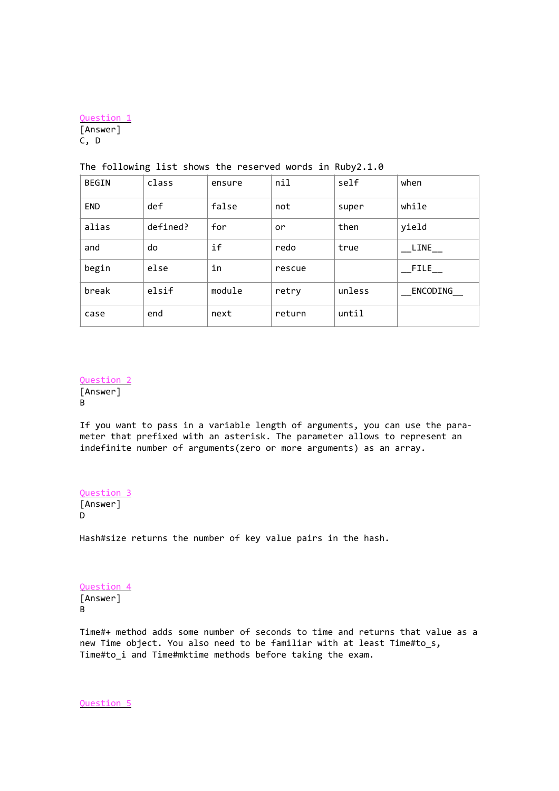Question 1 [Answer] C, D

| BEGIN      | class    | ensure | nil    | self   | when      |
|------------|----------|--------|--------|--------|-----------|
| <b>END</b> | def      | false  | not    | super  | while     |
| alias      | defined? | for    | or     | then   | yield     |
| and        | do       | if     | redo   | true   | LINE      |
| begin      | else     | in     | rescue |        | $\_$ FILE |
| break      | elsif    | module | retry  | unless | ENCODING  |
| case       | end      | next   | return | until  |           |

### The following list shows the reserved words in Ruby2.1.0

**Question** [Answer] B

If you want to pass in a variable length of arguments, you can use the parameter that prefixed with an asterisk. The parameter allows to represent an indefinite number of arguments(zero or more arguments) as an array.

Question 3 [Answer] D

Hash#size returns the number of key value pairs in the hash.

Question 4 [Answer] B

Time#+ method adds some number of seconds to time and returns that value as a new Time object. You also need to be familiar with at least Time#to\_s, Time#to\_i and Time#mktime methods before taking the exam.

Question 5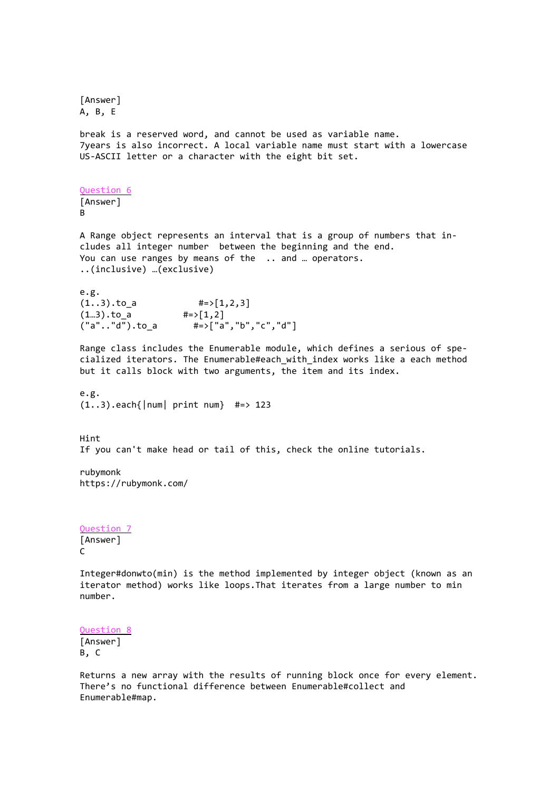[Answer] A, B, E break is a reserved word, and cannot be used as variable name. 7years is also incorrect. A local variable name must start with a lowercase US-ASCII letter or a character with the eight bit set. Question 6 [Answer] B A Range object represents an interval that is a group of numbers that includes all integer number between the beginning and the end. You can use ranges by means of the .. and ... operators. ..(inclusive) …(exclusive) e.g.  $(1..3).to_a$  #=>[1,2,3]<br>(1..3).to\_a #=>[1,2]  $(1...3) . to_a$ <br> $("a". . "d"). to a$ #=>["a","b","c","d"] Range class includes the Enumerable module, which defines a serious of specialized iterators. The Enumerable#each\_with\_index works like a each method but it calls block with two arguments, the item and its index. e.g.  $(1..3)$ .each{|num| print num} #=> 123 Hint If you can't make head or tail of this, check the online tutorials. rubymonk https://rubymonk.com/ Question 7 [Answer]  $\Gamma$ Integer#donwto(min) is the method implemented by integer object (known as an iterator method) works like loops.That iterates from a large number to min number. Question 8 [Answer] B, C

Returns a new array with the results of running block once for every element. There's no functional difference between Enumerable#collect and Enumerable#map.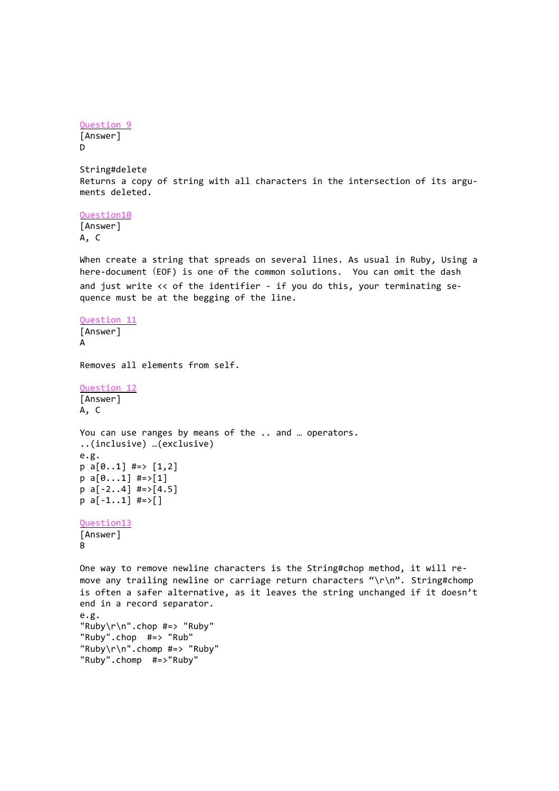```
Question 9
[Answer]
D
```
String#delete Returns a copy of string with all characters in the intersection of its arguments deleted.

Question10 [Answer] A, C

When create a string that spreads on several lines. As usual in Ruby, Using a here-document (EOF) is one of the common solutions. You can omit the dash and just write << of the identifier - if you do this, your terminating sequence must be at the begging of the line.

Question 11 [Answer] A

Removes all elements from self.

Question 12 [Answer] A, C

```
You can use ranges by means of the .. and … operators.
..(inclusive) …(exclusive)
e.g.
p a[0..1] #=> [1,2]p a[0...1] #=>[1]
```

```
p a[-2..4] #=>[4.5]
p a[-1..1] #=>[]
```

```
Question13
```

```
[Answer]
B
```
One way to remove newline characters is the String#chop method, it will remove any trailing newline or carriage return characters "\r\n". String#chomp is often a safer alternative, as it leaves the string unchanged if it doesn't end in a record separator. e.g. "Ruby\r\n".chop #=> "Ruby" "Ruby".chop #=> "Rub" "Ruby\r\n".chomp #=> "Ruby" "Ruby".chomp #=>"Ruby"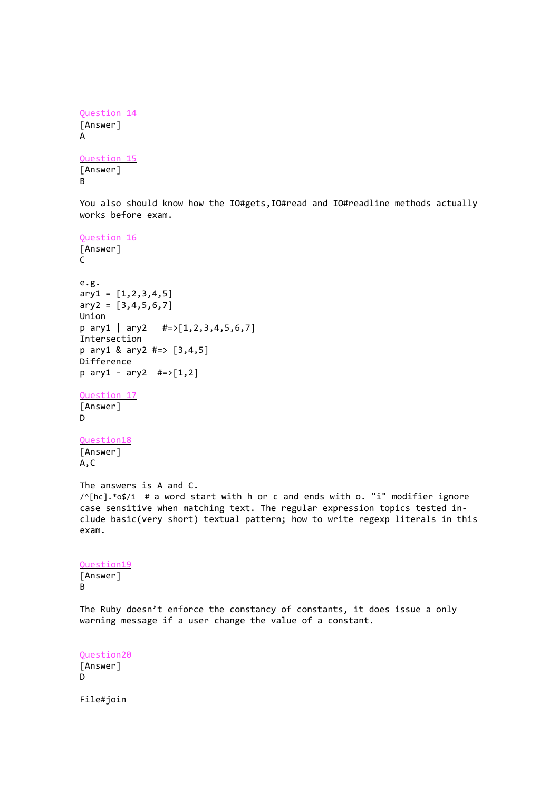```
Question 14
[Answer]
A
```
Question 15 [Answer] B

You also should know how the IO#gets,IO#read and IO#readline methods actually works before exam.

Question 16 [Answer] C e.g.  $ary1 = [1, 2, 3, 4, 5]$  $ary2 = [3, 4, 5, 6, 7]$ Union  $p \text{ ary1 } | \text{ ary2 } # \Rightarrow [1, 2, 3, 4, 5, 6, 7]$ Intersection p ary1 & ary2 #=> [3,4,5] Difference  $p \,$  ary1 - ary2 #=>[1,2]

```
Question 17
```
[Answer] D

### Question18

[Answer] A,C

The answers is A and C. /^[hc].\*o\$/i # a word start with h or c and ends with o. "i" modifier ignore case sensitive when matching text. The regular expression topics tested include basic(very short) textual pattern; how to write regexp literals in this exam.

Question19 [Answer] B

The Ruby doesn't enforce the constancy of constants, it does issue a only warning message if a user change the value of a constant.

Question20 [Answer] D

File#join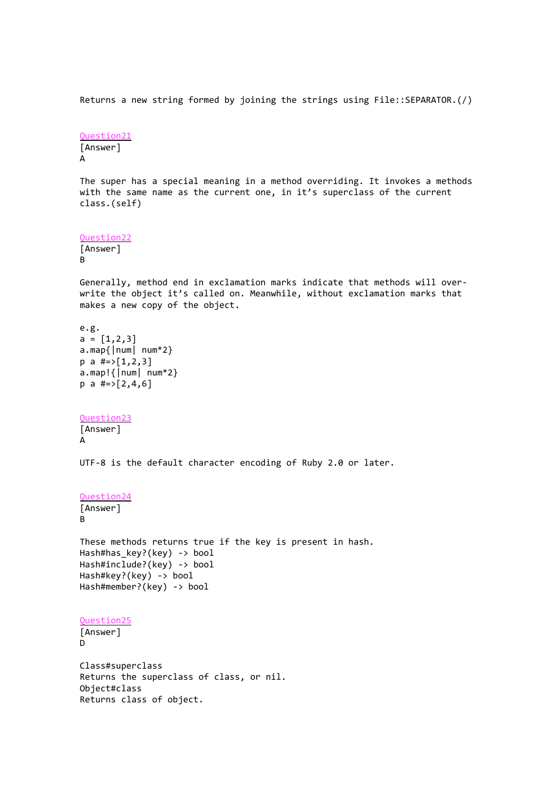Returns a new string formed by joining the strings using File::SEPARATOR.(/)

```
Question21
```
[Answer] A

The super has a special meaning in a method overriding. It invokes a methods with the same name as the current one, in it's superclass of the current class.(self)

```
Question22
```
[Answer] B

Generally, method end in exclamation marks indicate that methods will overwrite the object it's called on. Meanwhile, without exclamation marks that makes a new copy of the object.

```
e.g.
a = [1, 2, 3]a.map{|num| num*2} 
p a #=>[1,2,3]a.map!{|num| num*2}
p a #=>[2,4,6]
```
## Question23

[Answer] A

UTF-8 is the default character encoding of Ruby 2.0 or later.

```
Question24
```

```
[Answer]
```
B

These methods returns true if the key is present in hash. Hash#has\_key?(key) -> bool Hash#include?(key) -> bool Hash#key?(key) -> bool Hash#member?(key) -> bool

```
Question25
```

```
[Answer]
D
```
Class#superclass Returns the superclass of class, or nil. Object#class Returns class of object.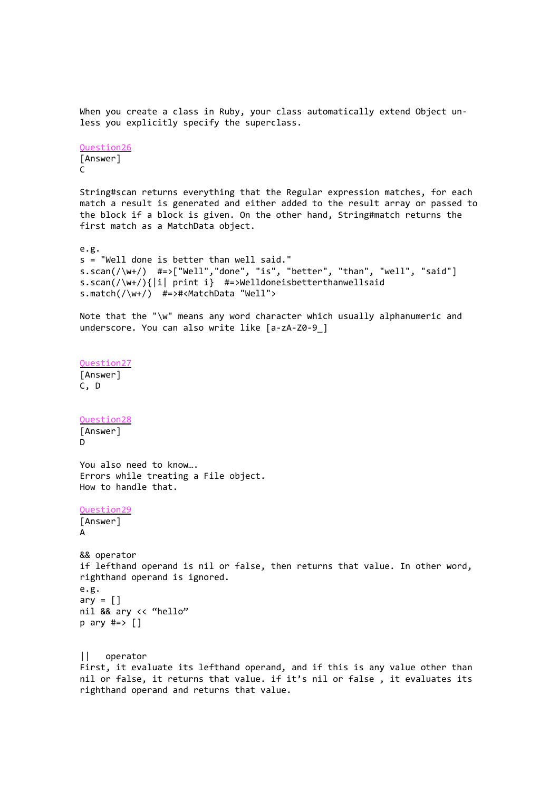When you create a class in Ruby, your class automatically extend Object unless you explicitly specify the superclass. Question26 [Answer]  $\mathcal{C}$ String#scan returns everything that the Regular expression matches, for each match a result is generated and either added to the result array or passed to the block if a block is given. On the other hand, String#match returns the first match as a MatchData object. e.g. s = "Well done is better than well said."  $s.scan(\wedge w+\wedge w)$  #=>["Well","done", "is", "better", "than", "well", "said"] s.scan(/\w+/){|i| print i} #=>Welldoneisbetterthanwellsaid s.match(/\w+/) #=>#<MatchData "Well"> Note that the "\w" means any word character which usually alphanumeric and underscore. You can also write like [a-zA-Z0-9\_] Question27 [Answer] C, D Question28 [Answer] D You also need to know…. Errors while treating a File object. How to handle that. Question29 [Answer] A && operator if lefthand operand is nil or false, then returns that value. In other word, righthand operand is ignored. e.g.  $ary = []$ nil && ary << "hello"  $p$  ary  $\#=\gt{}$ || operator First, it evaluate its lefthand operand, and if this is any value other than nil or false, it returns that value. if it's nil or false , it evaluates its righthand operand and returns that value.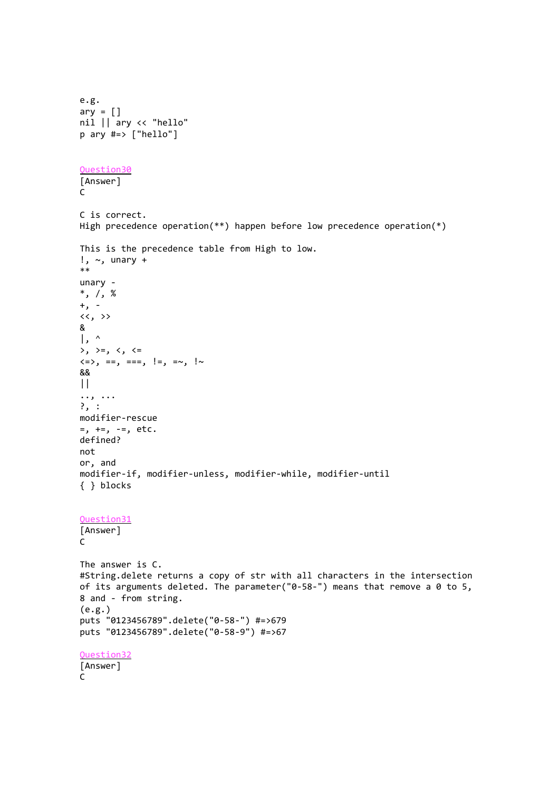```
e.g.
ary = []nil || ary << "hello"
p ary #=> ["hello"] 
Question30
[Answer]
\mathsf{C}C is correct. 
High precedence operation(**) happen before low precedence operation(*)
This is the precedence table from High to low.
!, \sim, unary +
**
unary -
*, /, %
+, -
\langle \cdot, \cdot \rangle&
\vert, ^
\rightarrow, \rightarrow=, \leftarrow, \leftarrow\langle z \rangle, ==, ===, !=, =~, !~
&&
| \ |.., ...
?, :
modifier-rescue
=, +=, -=, etc.
defined?
not
or, and
modifier-if, modifier-unless, modifier-while, modifier-until
{ } blocks
Question31
[Answer]
C
The answer is C.
#String.delete returns a copy of str with all characters in the intersection 
of its arguments deleted. The parameter("0-58-") means that remove a 0 to 5, 
8 and - from string.
(e.g.)
puts "0123456789".delete("0-58-") #=>679
puts "0123456789".delete("0-58-9") #=>67
Question32
[Answer]
C
```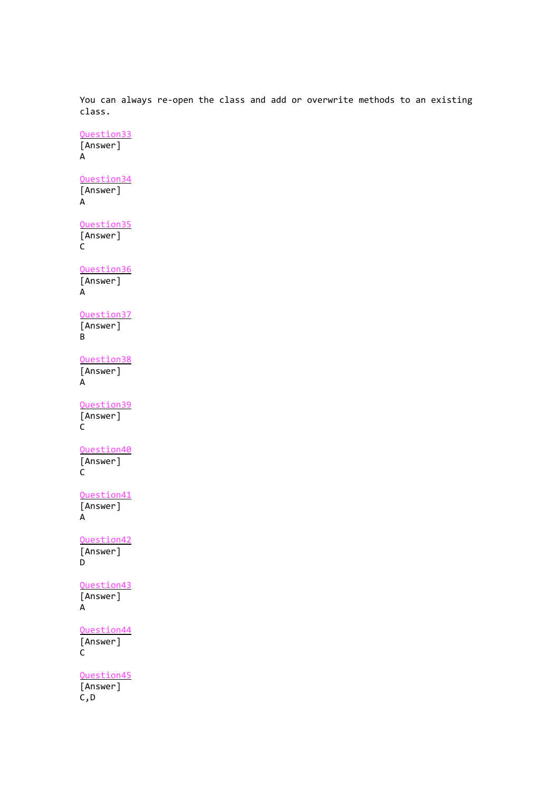You can always re-open the class and add or overwrite methods to an existing class.

Question33 [Answer] A Question34 [Answer] A Question35 [Answer] C Question36 [Answer] A Question37 [Answer] B Question38 [Answer] A Question39 [Answer] C Question40 [Answer] C Question41 [Answer] A Question42 [Answer]  $\overline{D}$ Question43 [Answer] A Question44 [Answer]  $\overline{C}$ Question45 [Answer] C,D